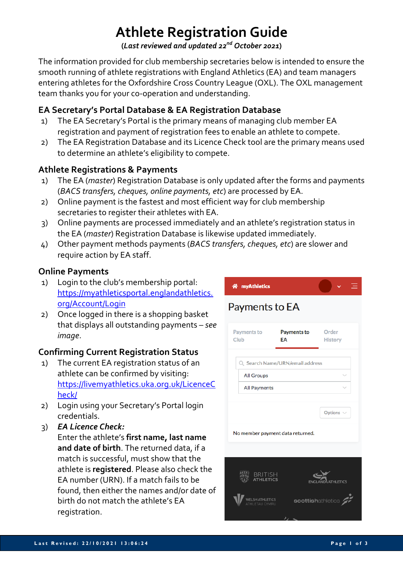# **Athlete Registration Guide**

**(***Last reviewed and updated 22nd October 2021***)**

The information provided for club membership secretaries below is intended to ensure the smooth running of athlete registrations with England Athletics (EA) and team managers entering athletes for the Oxfordshire Cross Country League (OXL). The OXL management team thanks you for your co-operation and understanding.

# **EA Secretary's Portal Database & EA Registration Database**

- 1) The EA Secretary's Portal is the primary means of managing club member EA registration and payment of registration fees to enable an athlete to compete.
- 2) The EA Registration Database and its Licence Check tool are the primary means used to determine an athlete's eligibility to compete.

# **Athlete Registrations & Payments**

- 1) The EA (*master*) Registration Database is only updated after the forms and payments (*BACS transfers, cheques, online payments, etc*) are processed by EA.
- 2) Online payment is the fastest and most efficient way for club membership secretaries to register their athletes with EA.
- 3) Online payments are processed immediately and an athlete's registration status in the EA (*master*) Registration Database is likewise updated immediately.
- 4) Other payment methods payments (*BACS transfers, cheques, etc*) are slower and require action by EA staff.

# **Online Payments**

- 1) Login to the club's membership portal: https://myathleticsportal.englandathletics. org/Account/Login
- 2) Once logged in there is a shopping basket that displays all outstanding payments – *see image*.

# **Confirming Current Registration Status**

- 1) The current EA registration status of an athlete can be confirmed by visiting: https://livemyathletics.uka.org.uk/LicenceC heck/
- 2) Login using your Secretary's Portal login credentials.
- 3) *EA Licence Check:* Enter the athlete's **first name, last name and date of birth**. The returned data, if a match is successful, must show that the athlete is **registered**. Please also check the EA number (URN). If a match fails to be found, then either the names and/or date of birth do not match the athlete's EA registration.

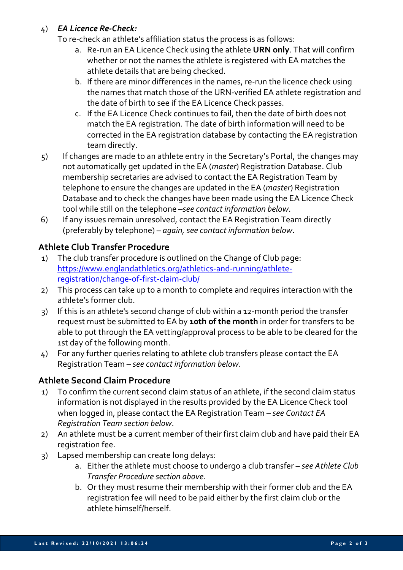#### 4) *EA Licence Re-Check:*

To re-check an athlete's affiliation status the process is as follows:

- a. Re-run an EA Licence Check using the athlete **URN only**. That will confirm whether or not the names the athlete is registered with EA matches the athlete details that are being checked.
- b. If there are minor differences in the names, re-run the licence check using the names that match those of the URN-verified EA athlete registration and the date of birth to see if the EA Licence Check passes.
- c. If the EA Licence Check continues to fail, then the date of birth does not match the EA registration. The date of birth information will need to be corrected in the EA registration database by contacting the EA registration team directly.
- 5) If changes are made to an athlete entry in the Secretary's Portal, the changes may not automatically get updated in the EA (*master*) Registration Database. Club membership secretaries are advised to contact the EA Registration Team by telephone to ensure the changes are updated in the EA (*master*) Registration Database and to check the changes have been made using the EA Licence Check tool while still on the telephone –*see contact information below*.
- 6) If any issues remain unresolved, contact the EA Registration Team directly (preferably by telephone) – *again, see contact information below*.

# **Athlete Club Transfer Procedure**

- 1) The club transfer procedure is outlined on the Change of Club page: https://www.englandathletics.org/athletics-and-running/athleteregistration/change-of-first-claim-club/
- 2) This process can take up to a month to complete and requires interaction with the athlete's former club.
- 3) If this is an athlete's second change of club within a 12-month period the transfer request must be submitted to EA by **10th of the month** in order for transfers to be able to put through the EA vetting/approval process to be able to be cleared for the 1st day of the following month.
- 4) For any further queries relating to athlete club transfers please contact the EA Registration Team – *see contact information below*.

# **Athlete Second Claim Procedure**

- 1) To confirm the current second claim status of an athlete, if the second claim status information is not displayed in the results provided by the EA Licence Check tool when logged in, please contact the EA Registration Team – *see Contact EA Registration Team section below*.
- 2) An athlete must be a current member of their first claim club and have paid their EA registration fee.
- 3) Lapsed membership can create long delays:
	- a. Either the athlete must choose to undergo a club transfer *see Athlete Club Transfer Procedure section above*.
	- b. Or they must resume their membership with their former club and the EA registration fee will need to be paid either by the first claim club or the athlete himself/herself.